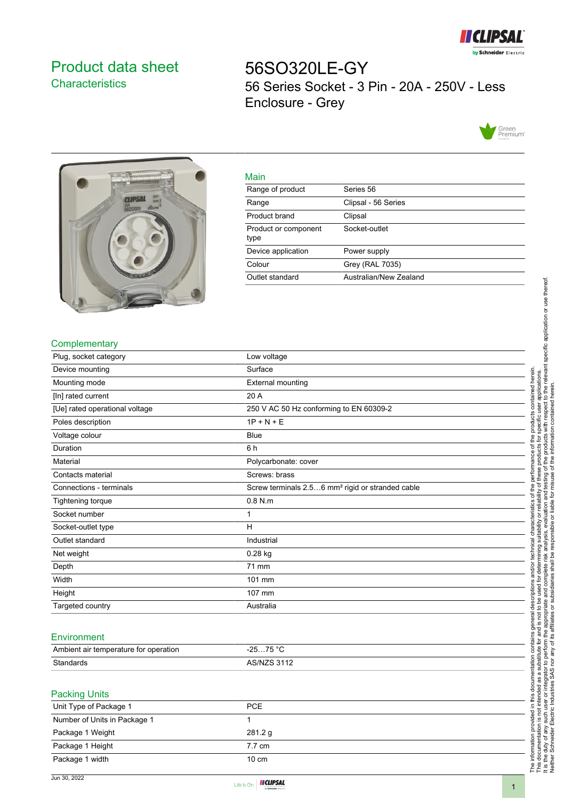

# <span id="page-0-0"></span>Product data sheet **Characteristics**

56SO320LE-GY 56 Series Socket - 3 Pin - 20A - 250V - Less Enclosure - Grey





| <u>Main</u>                  |                        |
|------------------------------|------------------------|
| Range of product             | Series 56              |
| Range                        | Clipsal - 56 Series    |
| Product brand                | Clipsal                |
| Product or component<br>type | Socket-outlet          |
| Device application           | Power supply           |
| Colour                       | <b>Grey (RAL 7035)</b> |
| Outlet standard              | Australian/New Zealand |
|                              |                        |

## **Complementary**

| Plug, socket category          | Low voltage                                                  |
|--------------------------------|--------------------------------------------------------------|
| Device mounting                | Surface                                                      |
| Mounting mode                  | <b>External mounting</b>                                     |
| [In] rated current             | 20 A                                                         |
| [Ue] rated operational voltage | 250 V AC 50 Hz conforming to EN 60309-2                      |
| Poles description              | $1P + N + E$                                                 |
| Voltage colour                 | Blue                                                         |
| Duration                       | 6 h                                                          |
| Material                       | Polycarbonate: cover                                         |
| Contacts material              | Screws: brass                                                |
| Connections - terminals        | Screw terminals 2.56 mm <sup>2</sup> rigid or stranded cable |
| <b>Tightening torque</b>       | $0.8$ N.m                                                    |
| Socket number                  | 1                                                            |
| Socket-outlet type             | н                                                            |
| Outlet standard                | Industrial                                                   |
| Net weight                     | 0.28 kg                                                      |
| Depth                          | 71 mm                                                        |
| Width                          | 101 mm                                                       |
| Height                         | 107 mm                                                       |
| Targeted country               | Australia                                                    |
|                                |                                                              |

Main

#### **Environment**

| Ambient air temperature for operation | 75 °C<br>っに<br>-20. |
|---------------------------------------|---------------------|
| Standards                             | $^{\prime}$ /Ni     |

### Packing Units

It is the duty of any such user or integrator to perform the appropriate and complete risk analysis, evaluation and testing of the products with respect to the relevant specific application or use thereof.

Neither Schneider Electric Industries SAS nor any of its affiliates or subsidiaries shall be responsible or liable for misuse of the information contained herein.